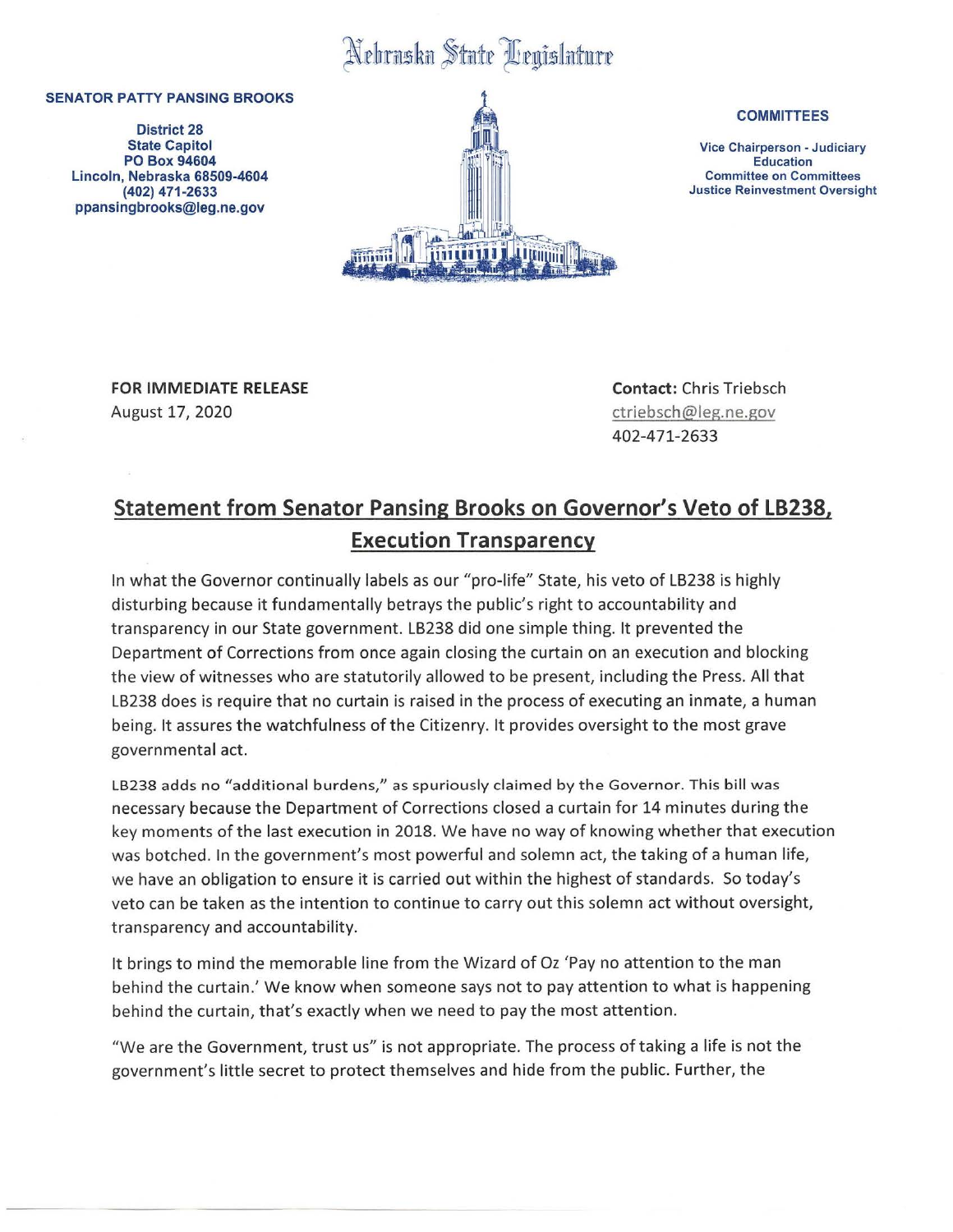## Nebraska State Legislature

## **SENATOR PATTY PANSING BROOKS**

**District 28 State** Capitol **PO Box 94604**  Lincoln, **Nebraska 68509-4604 (402) 471-2633**  ppansingbrooks@leg.ne.gov



## **COMMITTEES**

Vice Chairperson - Judiciary Education Committee on Committees Justice Reinvestment Oversight

**FOR IMMEDIATE RELEASE**  August 17, 2020

**Contact:** Chris Triebsch ctriebsch@leg.ne.gov 402-471-2633

## **Statement from Senator Pansing Brooks on Governor's Veto of LB238, Execution Transparency**

In what the Governor continually labels as our "pro-life" State, his veto of LB238 is highly disturbing because it fundamentally betrays the public's right to accountability and transparency in our State government. LB238 did one simple thing. It prevented the Department of Corrections from once again closing the curtain on an execution and blocking the view of witnesses who are statutorily allowed to be present, including the Press. All that LB238 does is require that no curtain is raised in the process of executing an inmate, a human being. It assures the watchfulness of the Citizenry. It provides oversight to the most grave governmental act.

LB238 adds no "additional burdens," as spuriously claimed by the Governor. This bill was necessary because the Department of Corrections closed a curtain for 14 minutes during the key moments of the last execution in 2018 . We have no way of knowing whether that execution was botched. In the government's most powerful and solemn act, the taking of a human life, we have an obligation to ensure it is carried out within the highest of standards. So today's veto can be taken as the intention to continue to carry out this solemn act without oversight, transparency and accountability.

It brings to mind the memorable line from the Wizard of Oz 'Pay no attention to the man behind the curtain.' We know when someone says not to pay attention to what is happening behind the curtain, that's exactly when we need to pay the most attention.

"We are the Government, trust us" is not appropriate. The process of taking a life is not the government's little secret to protect themselves and hide from the public. Further, the